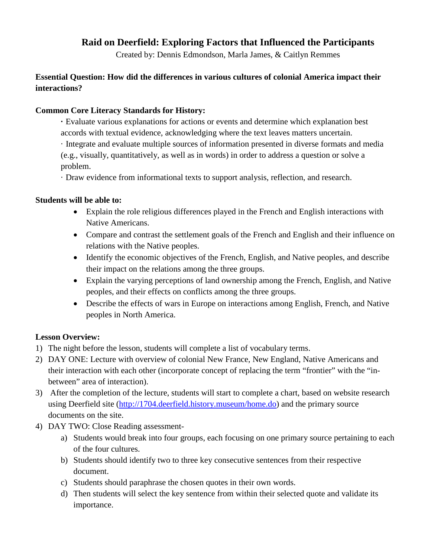### **Raid on Deerfield: Exploring Factors that Influenced the Participants**

Created by: Dennis Edmondson, Marla James, & Caitlyn Remmes

### **Essential Question: How did the differences in various cultures of colonial America impact their interactions?**

### **Common Core Literacy Standards for History:**

**·** Evaluate various explanations for actions or events and determine which explanation best accords with textual evidence, acknowledging where the text leaves matters uncertain.

· Integrate and evaluate multiple sources of information presented in diverse formats and media (e.g., visually, quantitatively, as well as in words) in order to address a question or solve a problem.

· Draw evidence from informational texts to support analysis, reflection, and research.

### **Students will be able to:**

- Explain the role religious differences played in the French and English interactions with Native Americans.
- Compare and contrast the settlement goals of the French and English and their influence on relations with the Native peoples.
- Identify the economic objectives of the French, English, and Native peoples, and describe their impact on the relations among the three groups.
- Explain the varying perceptions of land ownership among the French, English, and Native peoples, and their effects on conflicts among the three groups.
- Describe the effects of wars in Europe on interactions among English, French, and Native peoples in North America.

### **Lesson Overview:**

- 1) The night before the lesson, students will complete a list of vocabulary terms.
- 2) DAY ONE: Lecture with overview of colonial New France, New England, Native Americans and their interaction with each other (incorporate concept of replacing the term "frontier" with the "inbetween" area of interaction).
- 3) After the completion of the lecture, students will start to complete a chart, based on website research using Deerfield site [\(http://1704.deerfield.history.museum/home.do\)](http://1704.deerfield.history.museum/home.do) and the primary source documents on the site.
- 4) DAY TWO: Close Reading assessment
	- a) Students would break into four groups, each focusing on one primary source pertaining to each of the four cultures.
	- b) Students should identify two to three key consecutive sentences from their respective document.
	- c) Students should paraphrase the chosen quotes in their own words.
	- d) Then students will select the key sentence from within their selected quote and validate its importance.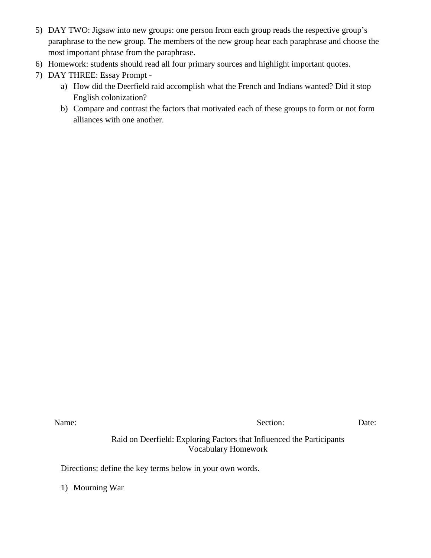- 5) DAY TWO: Jigsaw into new groups: one person from each group reads the respective group's paraphrase to the new group. The members of the new group hear each paraphrase and choose the most important phrase from the paraphrase.
- 6) Homework: students should read all four primary sources and highlight important quotes.
- 7) DAY THREE: Essay Prompt
	- a) How did the Deerfield raid accomplish what the French and Indians wanted? Did it stop English colonization?
	- b) Compare and contrast the factors that motivated each of these groups to form or not form alliances with one another.

Name: Date: Decree Date: Section: Date: Date:

Raid on Deerfield: Exploring Factors that Influenced the Participants Vocabulary Homework

Directions: define the key terms below in your own words.

1) Mourning War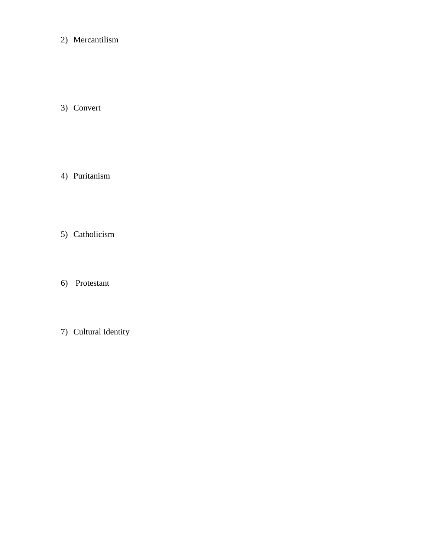2) Mercantilism

3) Convert

- 4) Puritanism
- 5) Catholicism
- 6) Protestant
- 7) Cultural Identity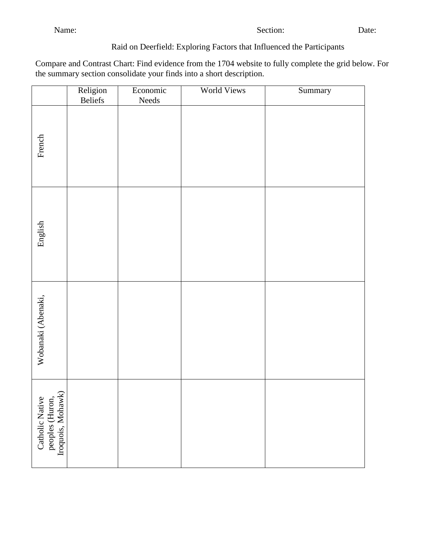### Raid on Deerfield: Exploring Factors that Influenced the Participants

Compare and Contrast Chart: Find evidence from the 1704 website to fully complete the grid below. For the summary section consolidate your finds into a short description.

|                                                         | Religion<br>Beliefs | Economic<br>Needs | <b>World Views</b> | Summary |
|---------------------------------------------------------|---------------------|-------------------|--------------------|---------|
| French                                                  |                     |                   |                    |         |
| English                                                 |                     |                   |                    |         |
| Wobanaki (Abenaki,                                      |                     |                   |                    |         |
| Catholic Native<br>peoples (Huron,<br>Iroquois, Mohawk) |                     |                   |                    |         |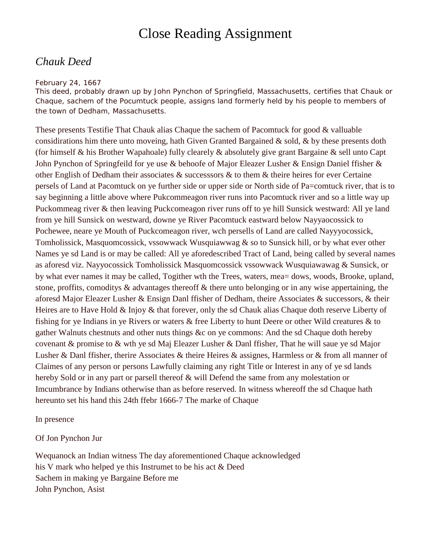# Close Reading Assignment

## *Chauk Deed*

#### *February 24, 1667*

*This deed, probably drawn up by John Pynchon of Springfield, Massachusetts, certifies that Chauk or Chaque, sachem of the Pocumtuck people, assigns land formerly held by his people to members of the town of Dedham, Massachusetts.*

These presents Testifie That Chauk alias Chaque the sachem of Pacomtuck for good & valluable considirations him there unto moveing, hath Given Granted Bargained  $\&$  sold,  $\&$  by these presents doth (for himself & his Brother Wapahoale) fully clearely & absolutely give grant Bargaine & sell unto Capt John Pynchon of Springfeild for ye use & behoofe of Major Eleazer Lusher & Ensign Daniel ffisher & other English of Dedham their associates & successsors & to them & theire heires for ever Certaine persels of Land at Pacomtuck on ye further side or upper side or North side of Pa=comtuck river, that is to say beginning a little above where Pukcommeagon river runs into Pacomtuck river and so a little way up Puckommeag river & then leaving Puckcomeagon river runs off to ye hill Sunsick westward: All ye land from ye hill Sunsick on westward, downe ye River Pacomtuck eastward below Nayyaocossick to Pochewee, neare ye Mouth of Puckcomeagon river, wch persells of Land are called Nayyyocossick, Tomholissick, Masquomcossick, vssowwack Wusquiawwag & so to Sunsick hill, or by what ever other Names ye sd Land is or may be called: All ye aforedescribed Tract of Land, being called by several names as aforesd viz. Nayyocossick Tomholissick Masquomcossick vssowwack Wusquiawawag & Sunsick, or by what ever names it may be called, Togither wth the Trees, waters, mea= dows, woods, Brooke, upland, stone, proffits, comoditys & advantages thereoff & there unto belonging or in any wise appertaining, the aforesd Major Eleazer Lusher & Ensign Danl ffisher of Dedham, theire Associates & successors, & their Heires are to Have Hold & Injoy & that forever, only the sd Chauk alias Chaque doth reserve Liberty of fishing for ye Indians in ye Rivers or waters & free Liberty to hunt Deere or other Wild creatures & to gather Walnuts chestnuts and other nuts things &c on ye commons: And the sd Chaque doth hereby covenant & promise to & wth ye sd Maj Eleazer Lusher & Danl ffisher, That he will saue ye sd Major Lusher & Danl ffisher, therire Associates & theire Heires & assignes, Harmless or & from all manner of Claimes of any person or persons Lawfully claiming any right Title or Interest in any of ye sd lands hereby Sold or in any part or parsell thereof & will Defend the same from any molestation or Imcumbrance by Indians otherwise than as before reserved. In witness whereoff the sd Chaque hath hereunto set his hand this 24th ffebr 1666-7 The marke of Chaque

In presence

Of Jon Pynchon Jur

Wequanock an Indian witness The day aforementioned Chaque acknowledged his V mark who helped ye this Instrumet to be his act & Deed Sachem in making ye Bargaine Before me John Pynchon, Asist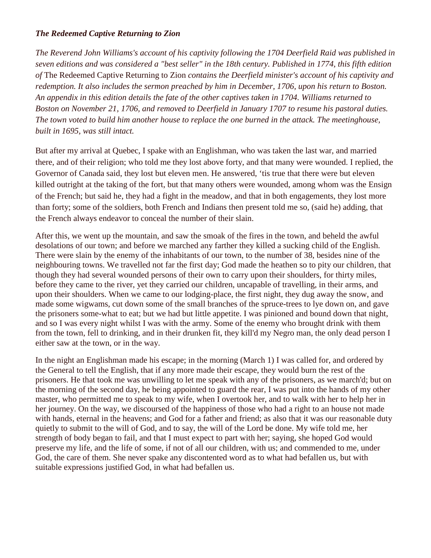### *The Redeemed Captive Returning to Zion*

*The Reverend John Williams's account of his captivity following the 1704 Deerfield Raid was published in seven editions and was considered a "best seller" in the 18th century. Published in 1774, this fifth edition of* The Redeemed Captive Returning to Zion *contains the Deerfield minister's account of his captivity and redemption. It also includes the sermon preached by him in December, 1706, upon his return to Boston. An appendix in this edition details the fate of the other captives taken in 1704. Williams returned to Boston on November 21, 1706, and removed to Deerfield in January 1707 to resume his pastoral duties. The town voted to build him another house to replace the one burned in the attack. The meetinghouse, built in 1695, was still intact.*

But after my arrival at Quebec, I spake with an Englishman, who was taken the last war, and married there, and of their religion; who told me they lost above forty, and that many were wounded. I replied, the Governor of Canada said, they lost but eleven men. He answered, 'tis true that there were but eleven killed outright at the taking of the fort, but that many others were wounded, among whom was the Ensign of the French; but said he, they had a fight in the meadow, and that in both engagements, they lost more than forty; some of the soldiers, both French and Indians then present told me so, (said he) adding, that the French always endeavor to conceal the number of their slain.

After this, we went up the mountain, and saw the smoak of the fires in the town, and beheld the awful desolations of our town; and before we marched any farther they killed a sucking child of the English. There were slain by the enemy of the inhabitants of our town, to the number of 38, besides nine of the neighbouring towns. We travelled not far the first day; God made the heathen so to pity our children, that though they had several wounded persons of their own to carry upon their shoulders, for thirty miles, before they came to the river, yet they carried our children, uncapable of travelling, in their arms, and upon their shoulders. When we came to our lodging-place, the first night, they dug away the snow, and made some wigwams, cut down some of the small branches of the spruce-trees to lye down on, and gave the prisoners some-what to eat; but we had but little appetite. I was pinioned and bound down that night, and so I was every night whilst I was with the army. Some of the enemy who brought drink with them from the town, fell to drinking, and in their drunken fit, they kill'd my Negro man, the only dead person I either saw at the town, or in the way.

In the night an Englishman made his escape; in the morning (March 1) I was called for, and ordered by the General to tell the English, that if any more made their escape, they would burn the rest of the prisoners. He that took me was unwilling to let me speak with any of the prisoners, as we march'd; but on the morning of the second day, he being appointed to guard the rear, I was put into the hands of my other master, who permitted me to speak to my wife, when I overtook her, and to walk with her to help her in her journey. On the way, we discoursed of the happiness of those who had a right to an house not made with hands, eternal in the heavens; and God for a father and friend; as also that it was our reasonable duty quietly to submit to the will of God, and to say, the will of the Lord be done. My wife told me, her strength of body began to fail, and that I must expect to part with her; saying, she hoped God would preserve my life, and the life of some, if not of all our children, with us; and commended to me, under God, the care of them. She never spake any discontented word as to what had befallen us, but with suitable expressions justified God, in what had befallen us.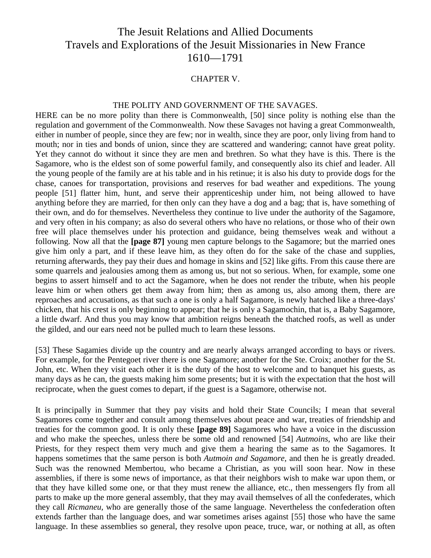# The Jesuit Relations and Allied Documents Travels and Explorations of the Jesuit Missionaries in New France 1610—1791

#### CHAPTER V.

#### THE POLITY AND GOVERNMENT OF THE SAVAGES.

HERE can be no more polity than there is Commonwealth, [50] since polity is nothing else than the regulation and government of the Commonwealth. Now these Savages not having a great Commonwealth, either in number of people, since they are few; nor in wealth, since they are poor, only living from hand to mouth; nor in ties and bonds of union, since they are scattered and wandering; cannot have great polity. Yet they cannot do without it since they are men and brethren. So what they have is this. There is the Sagamore, who is the eldest son of some powerful family, and consequently also its chief and leader. All the young people of the family are at his table and in his retinue; it is also his duty to provide dogs for the chase, canoes for transportation, provisions and reserves for bad weather and expeditions. The young people [51] flatter him, hunt, and serve their apprenticeship under him, not being allowed to have anything before they are married, for then only can they have a dog and a bag; that is, have something of their own, and do for themselves. Nevertheless they continue to live under the authority of the Sagamore, and very often in his company; as also do several others who have no relations, or those who of their own free will place themselves under his protection and guidance, being themselves weak and without a following. Now all that the **[page 87]** young men capture belongs to the Sagamore; but the married ones give him only a part, and if these leave him, as they often do for the sake of the chase and supplies, returning afterwards, they pay their dues and homage in skins and [52] like gifts. From this cause there are some quarrels and jealousies among them as among us, but not so serious. When, for example, some one begins to assert himself and to act the Sagamore, when he does not render the tribute, when his people leave him or when others get them away from him; then as among us, also among them, there are reproaches and accusations, as that such a one is only a half Sagamore, is newly hatched like a three-days' chicken, that his crest is only beginning to appear; that he is only a Sagamochin, that is, a Baby Sagamore, a little dwarf. And thus you may know that ambition reigns beneath the thatched roofs, as well as under the gilded, and our ears need not be pulled much to learn these lessons.

[53] These Sagamies divide up the country and are nearly always arranged according to bays or rivers. For example, for the Pentegoet river there is one Sagamore; another for the Ste. Croix; another for the St. John, etc. When they visit each other it is the duty of the host to welcome and to banquet his guests, as many days as he can, the guests making him some presents; but it is with the expectation that the host will reciprocate, when the guest comes to depart, if the guest is a Sagamore, otherwise not.

It is principally in Summer that they pay visits and hold their State Councils; I mean that several Sagamores come together and consult among themselves about peace and war, treaties of friendship and treaties for the common good. It is only these **[page 89]** Sagamores who have a voice in the discussion and who make the speeches, unless there be some old and renowned [54] *Autmoins,* who are like their Priests, for they respect them very much and give them a hearing the same as to the Sagamores. It happens sometimes that the same person is both *Autmoin and Sagamore,* and then he is greatly dreaded. Such was the renowned Membertou, who became a Christian, as you will soon hear. Now in these assemblies, if there is some news of importance, as that their neighbors wish to make war upon them, or that they have killed some one, or that they must renew the alliance, etc., then messengers fly from all parts to make up the more general assembly, that they may avail themselves of all the confederates, which they call *Ricmaneu,* who are generally those of the same language. Nevertheless the confederation often extends farther than the language does, and war sometimes arises against [55] those who have the same language. In these assemblies so general, they resolve upon peace, truce, war, or nothing at all, as often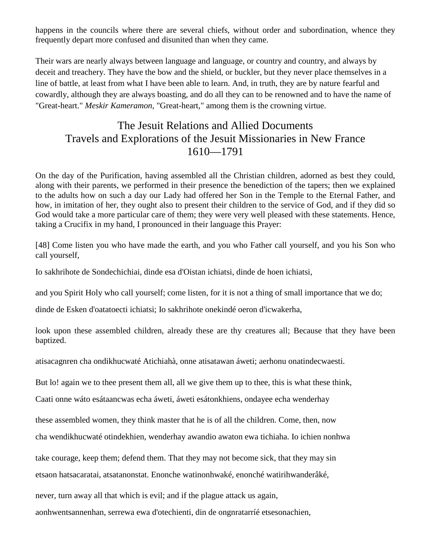happens in the councils where there are several chiefs, without order and subordination, whence they frequently depart more confused and disunited than when they came.

Their wars are nearly always between language and language, or country and country, and always by deceit and treachery. They have the bow and the shield, or buckler, but they never place themselves in a line of battle, at least from what I have been able to learn. And, in truth, they are by nature fearful and cowardly, although they are always boasting, and do all they can to be renowned and to have the name of "Great-heart." *Meskir Kameramon,* "Great-heart," among them is the crowning virtue.

# The Jesuit Relations and Allied Documents Travels and Explorations of the Jesuit Missionaries in New France 1610—1791

On the day of the Purification, having assembled all the Christian children, adorned as best they could, along with their parents, we performed in their presence the benediction of the tapers; then we explained to the adults how on such a day our Lady had offered her Son in the Temple to the Eternal Father, and how, in imitation of her, they ought also to present their children to the service of God, and if they did so God would take a more particular care of them; they were very well pleased with these statements. Hence, taking a Crucifix in my hand, I pronounced in their language this Prayer:

[48] Come listen you who have made the earth, and you who Father call yourself, and you his Son who call yourself,

Io sakhrihote de Sondechichiai, dinde esa d'Oistan ichiatsi, dinde de hoen ichiatsi,

and you Spirit Holy who call yourself; come listen, for it is not a thing of small importance that we do;

dinde de Esken d'oatatoecti ichiatsi; Io sakhrihote onekindé oeron d'icwakerha,

look upon these assembled children, already these are thy creatures all; Because that they have been baptized.

atisacagnren cha ondikhucwaté Atichiahà, onne atisatawan áweti; aerhonu onatindecwaesti.

But lo! again we to thee present them all, all we give them up to thee, this is what these think,

Caati onne wáto esátaancwas echa áweti, áweti esátonkhiens, ondayee echa wenderhay

these assembled women, they think master that he is of all the children. Come, then, now

cha wendikhucwaté otindekhien, wenderhay awandio awaton ewa tichiaha. Io ichien nonhwa

take courage, keep them; defend them. That they may not become sick, that they may sin

etsaon hatsacaratai, atsatanonstat. Enonche watinonhwaké, enonché watirihwanderâké,

never, turn away all that which is evil; and if the plague attack us again,

aonhwentsannenhan, serrewa ewa d'otechienti, din de ongnratarríé etsesonachien,